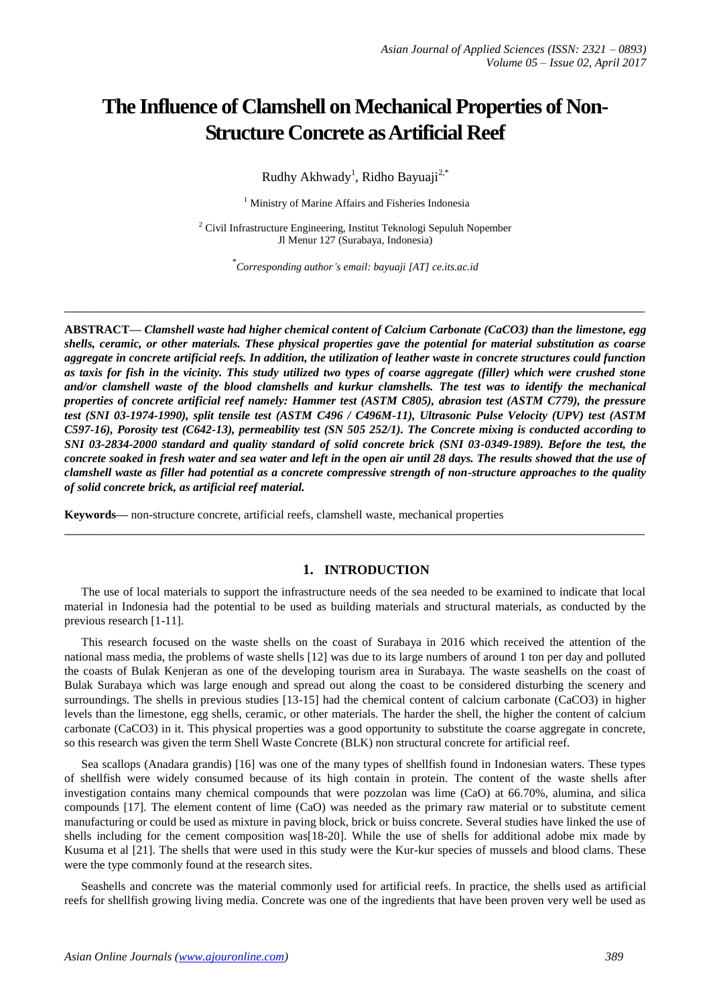# **The Influence of Clamshell on Mechanical Properties of Non-Structure Concrete as Artificial Reef**

Rudhy Akhwady<sup>1</sup>, Ridho Bayuaji<sup>2,\*</sup>

<sup>1</sup> Ministry of Marine Affairs and Fisheries Indonesia

<sup>2</sup> Civil Infrastructure Engineering, Institut Teknologi Sepuluh Nopember Jl Menur 127 (Surabaya, Indonesia)

\* *Corresponding author's email: bayuaji [AT] ce.its.ac.id*

**\_\_\_\_\_\_\_\_\_\_\_\_\_\_\_\_\_\_\_\_\_\_\_\_\_\_\_\_\_\_\_\_\_\_\_\_\_\_\_\_\_\_\_\_\_\_\_\_\_\_\_\_\_\_\_\_\_\_\_\_\_\_\_\_\_\_\_\_\_\_\_\_\_\_\_\_\_\_\_\_\_**

**ABSTRACT—** *Clamshell waste had higher chemical content of Calcium Carbonate (CaCO3) than the limestone, egg shells, ceramic, or other materials. These physical properties gave the potential for material substitution as coarse aggregate in concrete artificial reefs. In addition, the utilization of leather waste in concrete structures could function as taxis for fish in the vicinity. This study utilized two types of coarse aggregate (filler) which were crushed stone and/or clamshell waste of the blood clamshells and kurkur clamshells. The test was to identify the mechanical properties of concrete artificial reef namely: Hammer test (ASTM C805), abrasion test (ASTM C779), the pressure test (SNI 03-1974-1990), split tensile test (ASTM C496 / C496M-11), Ultrasonic Pulse Velocity (UPV) test (ASTM C597-16), Porosity test (C642-13), permeability test (SN 505 252/1). The Concrete mixing is conducted according to SNI 03-2834-2000 standard and quality standard of solid concrete brick (SNI 03-0349-1989). Before the test, the concrete soaked in fresh water and sea water and left in the open air until 28 days. The results showed that the use of clamshell waste as filler had potential as a concrete compressive strength of non-structure approaches to the quality of solid concrete brick, as artificial reef material.*

**Keywords—** non-structure concrete, artificial reefs, clamshell waste, mechanical properties

# **1. INTRODUCTION**

The use of local materials to support the infrastructure needs of the sea needed to be examined to indicate that local material in Indonesia had the potential to be used as building materials and structural materials, as conducted by the previous research [1-11].

**\_\_\_\_\_\_\_\_\_\_\_\_\_\_\_\_\_\_\_\_\_\_\_\_\_\_\_\_\_\_\_\_\_\_\_\_\_\_\_\_\_\_\_\_\_\_\_\_\_\_\_\_\_\_\_\_\_\_\_\_\_\_\_\_\_\_\_\_\_\_\_\_\_\_\_\_\_\_\_\_\_**

This research focused on the waste shells on the coast of Surabaya in 2016 which received the attention of the national mass media, the problems of waste shells [12] was due to its large numbers of around 1 ton per day and polluted the coasts of Bulak Kenjeran as one of the developing tourism area in Surabaya. The waste seashells on the coast of Bulak Surabaya which was large enough and spread out along the coast to be considered disturbing the scenery and surroundings. The shells in previous studies [13-15] had the chemical content of calcium carbonate (CaCO3) in higher levels than the limestone, egg shells, ceramic, or other materials. The harder the shell, the higher the content of calcium carbonate (CaCO3) in it. This physical properties was a good opportunity to substitute the coarse aggregate in concrete, so this research was given the term Shell Waste Concrete (BLK) non structural concrete for artificial reef.

Sea scallops (Anadara grandis) [16] was one of the many types of shellfish found in Indonesian waters. These types of shellfish were widely consumed because of its high contain in protein. The content of the waste shells after investigation contains many chemical compounds that were pozzolan was lime (CaO) at 66.70%, alumina, and silica compounds [17]. The element content of lime (CaO) was needed as the primary raw material or to substitute cement manufacturing or could be used as mixture in paving block, brick or buiss concrete. Several studies have linked the use of shells including for the cement composition was[18-20]. While the use of shells for additional adobe mix made by Kusuma et al [21]. The shells that were used in this study were the Kur-kur species of mussels and blood clams. These were the type commonly found at the research sites.

Seashells and concrete was the material commonly used for artificial reefs. In practice, the shells used as artificial reefs for shellfish growing living media. Concrete was one of the ingredients that have been proven very well be used as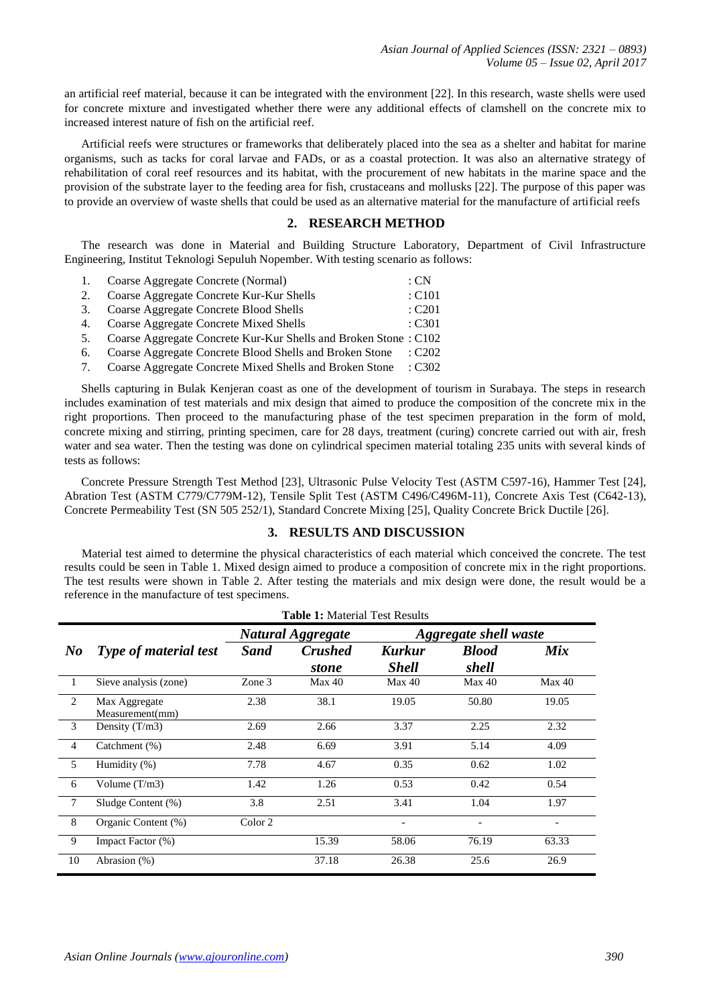an artificial reef material, because it can be integrated with the environment [22]. In this research, waste shells were used for concrete mixture and investigated whether there were any additional effects of clamshell on the concrete mix to increased interest nature of fish on the artificial reef.

Artificial reefs were structures or frameworks that deliberately placed into the sea as a shelter and habitat for marine organisms, such as tacks for coral larvae and FADs, or as a coastal protection. It was also an alternative strategy of rehabilitation of coral reef resources and its habitat, with the procurement of new habitats in the marine space and the provision of the substrate layer to the feeding area for fish, crustaceans and mollusks [22]. The purpose of this paper was to provide an overview of waste shells that could be used as an alternative material for the manufacture of artificial reefs

### **2. RESEARCH METHOD**

The research was done in Material and Building Structure Laboratory, Department of Civil Infrastructure Engineering, Institut Teknologi Sepuluh Nopember. With testing scenario as follows:

| 1. | Coarse Aggregate Concrete (Normal)                              | $\therefore$ CN   |  |
|----|-----------------------------------------------------------------|-------------------|--|
| 2. | Coarse Aggregate Concrete Kur-Kur Shells                        | $\therefore$ C101 |  |
| 3. | Coarse Aggregate Concrete Blood Shells                          | $\therefore$ C201 |  |
| 4. | Coarse Aggregate Concrete Mixed Shells                          | $\pm$ C301        |  |
| 5. | Coarse Aggregate Concrete Kur-Kur Shells and Broken Stone: C102 |                   |  |
| 6. | Coarse Aggregate Concrete Blood Shells and Broken Stone : C202  |                   |  |

- 
- 7. Coarse Aggregate Concrete Mixed Shells and Broken Stone : C302

Shells capturing in Bulak Kenjeran coast as one of the development of tourism in Surabaya. The steps in research includes examination of test materials and mix design that aimed to produce the composition of the concrete mix in the right proportions. Then proceed to the manufacturing phase of the test specimen preparation in the form of mold, concrete mixing and stirring, printing specimen, care for 28 days, treatment (curing) concrete carried out with air, fresh water and sea water. Then the testing was done on cylindrical specimen material totaling 235 units with several kinds of tests as follows:

Concrete Pressure Strength Test Method [23], Ultrasonic Pulse Velocity Test (ASTM C597-16), Hammer Test [24], Abration Test (ASTM C779/C779M-12), Tensile Split Test (ASTM C496/C496M-11), Concrete Axis Test (C642-13), Concrete Permeability Test (SN 505 252/1), Standard Concrete Mixing [25], Quality Concrete Brick Ductile [26].

# **3. RESULTS AND DISCUSSION**

Material test aimed to determine the physical characteristics of each material which conceived the concrete. The test results could be seen in Table 1. Mixed design aimed to produce a composition of concrete mix in the right proportions. The test results were shown in Table 2. After testing the materials and mix design were done, the result would be a reference in the manufacture of test specimens.

|                | <b>Table 1: Material Test Results</b> |                    |                                |                        |                              |                          |  |
|----------------|---------------------------------------|--------------------|--------------------------------|------------------------|------------------------------|--------------------------|--|
|                |                                       |                    | <b>Natural Aggregate</b>       |                        | <b>Aggregate shell waste</b> |                          |  |
| $\bm{N}$       | <b>Type of material test</b>          | <b>Sand</b>        | <b>Crushed</b><br><i>stone</i> | Kurkur<br><b>Shell</b> | <b>Blood</b><br>shell        | Mix                      |  |
| $\mathbf{1}$   | Sieve analysis (zone)                 | Zone 3             | Max 40                         | Max 40                 | Max 40                       | Max 40                   |  |
| 2              | Max Aggregate<br>Measurement(mm)      | 2.38               | 38.1                           | 19.05                  | 50.80                        | 19.05                    |  |
| 3              | Density $(T/m3)$                      | 2.69               | 2.66                           | 3.37                   | 2.25                         | 2.32                     |  |
| $\overline{4}$ | Catchment (%)                         | 2.48               | 6.69                           | 3.91                   | 5.14                         | 4.09                     |  |
| 5              | Humidity (%)                          | 7.78               | 4.67                           | 0.35                   | 0.62                         | 1.02                     |  |
| 6              | Volume $(T/m3)$                       | 1.42               | 1.26                           | 0.53                   | 0.42                         | 0.54                     |  |
| $\tau$         | Sludge Content (%)                    | 3.8                | 2.51                           | 3.41                   | 1.04                         | 1.97                     |  |
| 8              | Organic Content (%)                   | Color <sub>2</sub> |                                |                        | $\overline{\phantom{a}}$     | $\overline{\phantom{a}}$ |  |
| 9              | Impact Factor (%)                     |                    | 15.39                          | 58.06                  | 76.19                        | 63.33                    |  |
| 10             | Abrasion (%)                          |                    | 37.18                          | 26.38                  | 25.6                         | 26.9                     |  |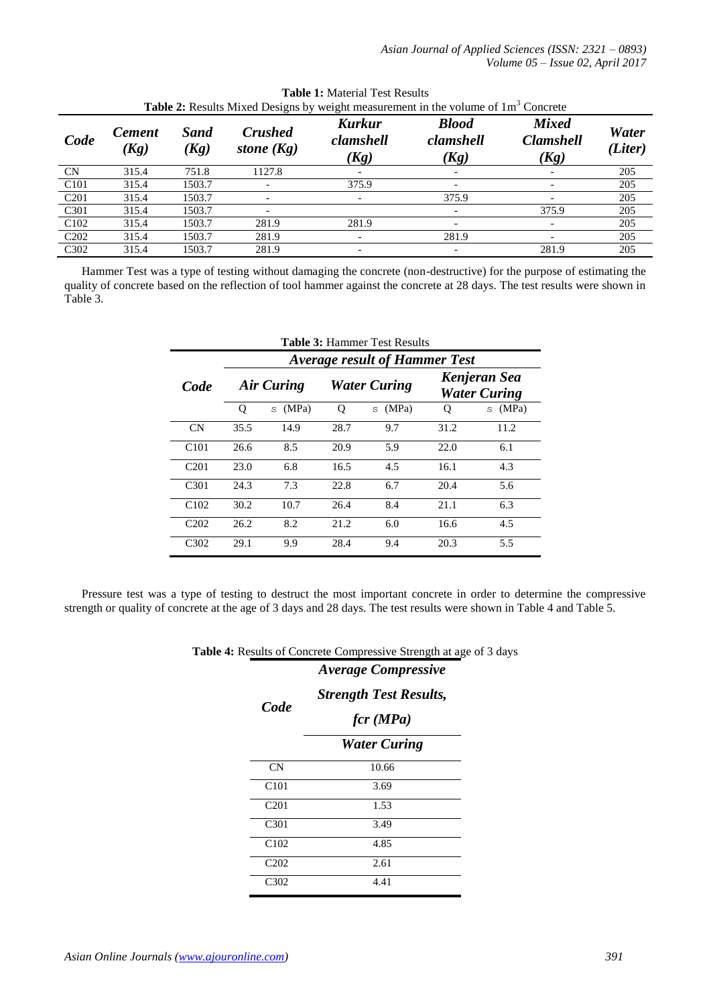|                               | <b>Table 2:</b> Results Mixed Designs by weight measurement in the volume of 1m <sup>3</sup> Concrete |                     |                                |                                    |                                   |                                          |                  |  |  |  |
|-------------------------------|-------------------------------------------------------------------------------------------------------|---------------------|--------------------------------|------------------------------------|-----------------------------------|------------------------------------------|------------------|--|--|--|
| Code                          | <b>Cement</b><br>(Kg)                                                                                 | <b>Sand</b><br>(Kg) | <b>Crushed</b><br>stone $(Kg)$ | <b>Kurkur</b><br>clamshell<br>(Kg) | <b>Blood</b><br>clamshell<br>(Kg) | <b>Mixed</b><br><b>Clamshell</b><br>(Kg) | Water<br>(Liter) |  |  |  |
| <b>CN</b>                     | 315.4                                                                                                 | 751.8               | 1127.8                         |                                    |                                   |                                          | 205              |  |  |  |
| C <sub>101</sub>              | 315.4                                                                                                 | 1503.7              |                                | 375.9                              |                                   |                                          | 205              |  |  |  |
| C <sub>201</sub>              | 315.4                                                                                                 | 1503.7              | $\overline{\phantom{0}}$       |                                    | 375.9                             |                                          | 205              |  |  |  |
| C <sub>301</sub>              | 315.4                                                                                                 | 1503.7              |                                |                                    |                                   | 375.9                                    | 205              |  |  |  |
| C <sub>102</sub>              | 315.4                                                                                                 | 1503.7              | 281.9                          | 281.9                              |                                   |                                          | 205              |  |  |  |
| C <sub>2</sub> 0 <sub>2</sub> | 315.4                                                                                                 | 1503.7              | 281.9                          |                                    | 281.9                             |                                          | 205              |  |  |  |
| C <sub>3</sub> 0 <sub>2</sub> | 315.4                                                                                                 | 1503.7              | 281.9                          |                                    | -                                 | 281.9                                    | 205              |  |  |  |

| <b>Table 1:</b> Material Test Results                                                 |  |
|---------------------------------------------------------------------------------------|--|
| <b>ble 2:</b> Results Mixed Designs by weight measurement in the volume of $1m3$ Conc |  |

Hammer Test was a type of testing without damaging the concrete (non-destructive) for the purpose of estimating the quality of concrete based on the reflection of tool hammer against the concrete at 28 days. The test results were shown in Table 3.

| <b>Table 3: Hammer Test Results</b>  |            |            |                     |            |      |                                     |  |  |  |
|--------------------------------------|------------|------------|---------------------|------------|------|-------------------------------------|--|--|--|
| <b>Average result of Hammer Test</b> |            |            |                     |            |      |                                     |  |  |  |
| Code                                 | Air Curing |            | <b>Water Curing</b> |            |      | Kenjeran Sea<br><b>Water Curing</b> |  |  |  |
|                                      | Q          | (MPa)<br>S | O                   | (MPa)<br>S | Ő    | (MPa)<br>S                          |  |  |  |
| <b>CN</b>                            | 35.5       | 14.9       | 28.7                | 9.7        | 31.2 | 11.2                                |  |  |  |
| C <sub>101</sub>                     | 26.6       | 8.5        | 20.9                | 5.9        | 22.0 | 6.1                                 |  |  |  |
| C <sub>201</sub>                     | 23.0       | 6.8        | 16.5                | 4.5        | 16.1 | 4.3                                 |  |  |  |
| C <sub>301</sub>                     | 24.3       | 7.3        | 22.8                | 6.7        | 20.4 | 5.6                                 |  |  |  |
| C <sub>102</sub>                     | 30.2       | 10.7       | 26.4                | 8.4        | 21.1 | 6.3                                 |  |  |  |
| C <sub>202</sub>                     | 26.2       | 8.2        | 21.2                | 6.0        | 16.6 | 4.5                                 |  |  |  |
| C <sub>3</sub> 0 <sub>2</sub>        | 29.1       | 9.9        | 28.4                | 9.4        | 20.3 | 5.5                                 |  |  |  |

Pressure test was a type of testing to destruct the most important concrete in order to determine the compressive strength or quality of concrete at the age of 3 days and 28 days. The test results were shown in Table 4 and Table 5.

**Table 4:** Results of Concrete Compressive Strength at age of 3 days

| Code                          | <b>Strength Test Results,</b><br>$\int cr$ (MPa) |
|-------------------------------|--------------------------------------------------|
|                               | <b>Water Curing</b>                              |
| CN                            | 10.66                                            |
| C101                          | 3.69                                             |
| C <sub>201</sub>              | 1.53                                             |
| C301                          | 3.49                                             |
| C <sub>102</sub>              | 4.85                                             |
| C <sub>2</sub> 0 <sub>2</sub> | 2.61                                             |
| C <sub>3</sub> 0 <sub>2</sub> | 4.41                                             |

*Average Compressive*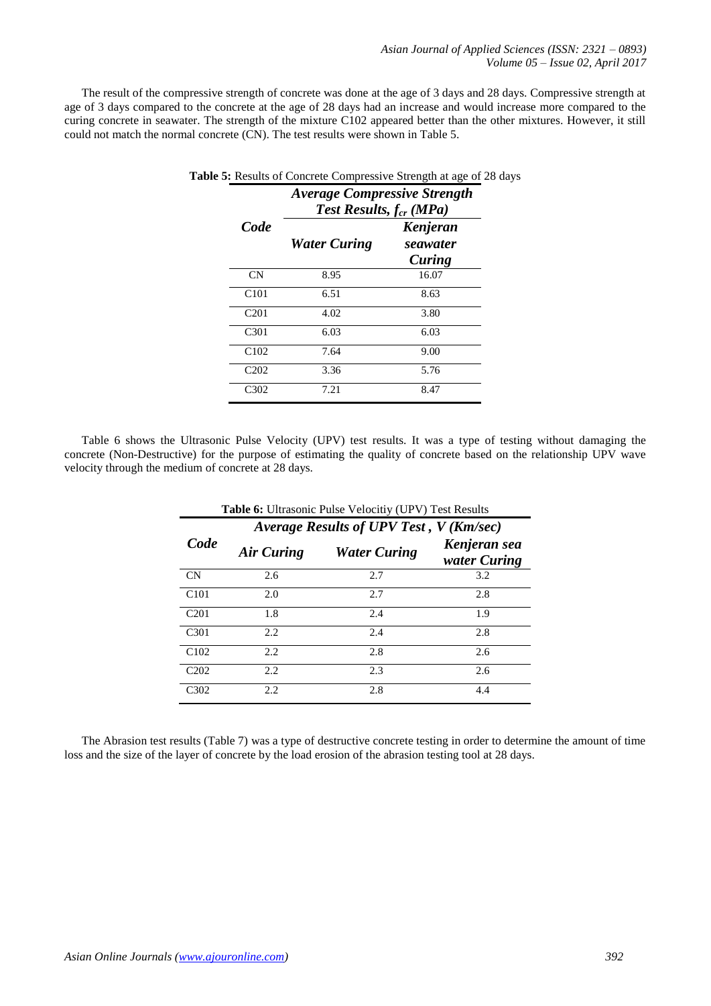The result of the compressive strength of concrete was done at the age of 3 days and 28 days. Compressive strength at age of 3 days compared to the concrete at the age of 28 days had an increase and would increase more compared to the curing concrete in seawater. The strength of the mixture C102 appeared better than the other mixtures. However, it still could not match the normal concrete (CN). The test results were shown in Table 5.

|                  | <b>Average Compressive Strength</b><br><b>Test Results, <math>f_{cr}</math> (MPa)</b> |                                |  |  |  |
|------------------|---------------------------------------------------------------------------------------|--------------------------------|--|--|--|
| <i>Code</i>      | <b>Water Curing</b>                                                                   | Kenjeran<br>seawater<br>Curing |  |  |  |
| <b>CN</b>        | 8.95                                                                                  | 16.07                          |  |  |  |
| C <sub>101</sub> | 6.51                                                                                  | 8.63                           |  |  |  |
| C <sub>201</sub> | 4.02                                                                                  | 3.80                           |  |  |  |
| C <sub>301</sub> | 6.03                                                                                  | 6.03                           |  |  |  |
| C102             | 7.64                                                                                  | 9.00                           |  |  |  |
| C <sub>202</sub> | 3.36                                                                                  | 5.76                           |  |  |  |
| C302             | 7.21                                                                                  | 8.47                           |  |  |  |

**Table 5:** Results of Concrete Compressive Strength at age of 28 days

Table 6 shows the Ultrasonic Pulse Velocity (UPV) test results. It was a type of testing without damaging the concrete (Non-Destructive) for the purpose of estimating the quality of concrete based on the relationship UPV wave velocity through the medium of concrete at 28 days.

|                               | <b>Table 6:</b> Ultrasonic Pulse Velocitiy (UPV) Test Results |                     |                              |  |  |  |  |
|-------------------------------|---------------------------------------------------------------|---------------------|------------------------------|--|--|--|--|
|                               | Average Results of UPV Test, V (Km/sec)                       |                     |                              |  |  |  |  |
| Code                          | Air Curing                                                    | <b>Water Curing</b> | Kenjeran sea<br>water Curing |  |  |  |  |
| CN                            | 2.6                                                           | 2.7                 | 3.2                          |  |  |  |  |
| C101                          | 2.0                                                           | 2.7                 | 2.8                          |  |  |  |  |
| C <sub>201</sub>              | 1.8                                                           | 2.4                 | 1.9                          |  |  |  |  |
| C <sub>301</sub>              | 2.2                                                           | 2.4                 | 2.8                          |  |  |  |  |
| C102                          | 2.2.                                                          | 2.8                 | 2.6                          |  |  |  |  |
| C <sub>2</sub> 0 <sub>2</sub> | 2.2                                                           | 2.3                 | 2.6                          |  |  |  |  |
| C <sub>3</sub> 0 <sub>2</sub> | 2.2.                                                          | 2.8                 | 4.4                          |  |  |  |  |

The Abrasion test results (Table 7) was a type of destructive concrete testing in order to determine the amount of time loss and the size of the layer of concrete by the load erosion of the abrasion testing tool at 28 days.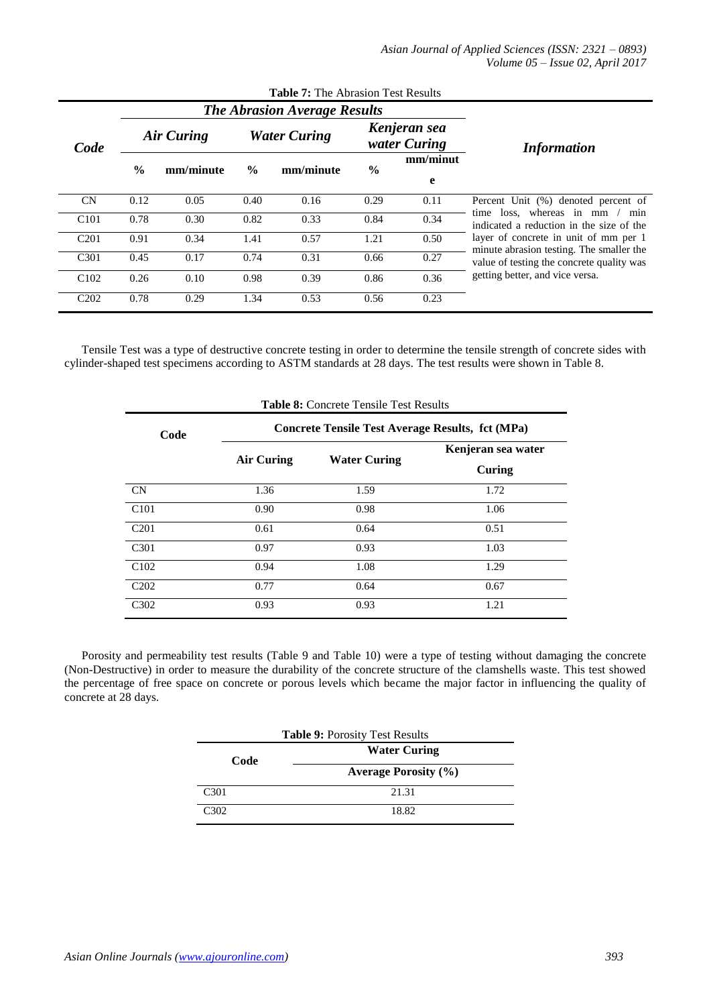| <b>Table 7:</b> The Abrasion Test Results |               |                                     |               |                     |               |                              |                                                                                                                                |  |  |  |
|-------------------------------------------|---------------|-------------------------------------|---------------|---------------------|---------------|------------------------------|--------------------------------------------------------------------------------------------------------------------------------|--|--|--|
|                                           |               | <b>The Abrasion Average Results</b> |               |                     |               |                              |                                                                                                                                |  |  |  |
| Code                                      |               | Air Curing                          |               | <b>Water Curing</b> |               | Kenjeran sea<br>water Curing | <i>Information</i>                                                                                                             |  |  |  |
|                                           | $\frac{6}{9}$ | mm/minute                           | $\frac{6}{6}$ | mm/minute           | $\frac{6}{9}$ | mm/minut<br>e                |                                                                                                                                |  |  |  |
| CN                                        | 0.12          | 0.05                                | 0.40          | 0.16                | 0.29          | 0.11                         | Percent Unit (%) denoted percent of                                                                                            |  |  |  |
| C <sub>101</sub>                          | 0.78          | 0.30                                | 0.82          | 0.33                | 0.84          | 0.34                         | time loss, whereas in mm / min<br>indicated a reduction in the size of the                                                     |  |  |  |
| C <sub>201</sub>                          | 0.91          | 0.34                                | 1.41          | 0.57                | 1.21          | 0.50                         | layer of concrete in unit of mm per 1<br>minute abrasion testing. The smaller the<br>value of testing the concrete quality was |  |  |  |
| C <sub>301</sub>                          | 0.45          | 0.17                                | 0.74          | 0.31                | 0.66          | 0.27                         |                                                                                                                                |  |  |  |
| C <sub>102</sub>                          | 0.26          | 0.10                                | 0.98          | 0.39                | 0.86          | 0.36                         | getting better, and vice versa.                                                                                                |  |  |  |
| C <sub>2</sub> 0 <sub>2</sub>             | 0.78          | 0.29                                | 1.34          | 0.53                | 0.56          | 0.23                         |                                                                                                                                |  |  |  |

Tensile Test was a type of destructive concrete testing in order to determine the tensile strength of concrete sides with cylinder-shaped test specimens according to ASTM standards at 28 days. The test results were shown in Table 8.

| <b>Table 8:</b> Concrete Tensile Test Results |                                                  |                     |                    |  |  |  |  |  |  |
|-----------------------------------------------|--------------------------------------------------|---------------------|--------------------|--|--|--|--|--|--|
| Code                                          | Concrete Tensile Test Average Results, fct (MPa) |                     |                    |  |  |  |  |  |  |
|                                               |                                                  | <b>Water Curing</b> | Kenjeran sea water |  |  |  |  |  |  |
|                                               | Air Curing                                       |                     | Curing             |  |  |  |  |  |  |
| <b>CN</b>                                     | 1.36                                             | 1.59                | 1.72               |  |  |  |  |  |  |
| C <sub>101</sub>                              | 0.90                                             | 0.98                | 1.06               |  |  |  |  |  |  |
| C <sub>201</sub>                              | 0.61                                             | 0.64                | 0.51               |  |  |  |  |  |  |
| C <sub>301</sub>                              | 0.97                                             | 0.93                | 1.03               |  |  |  |  |  |  |
| C <sub>102</sub>                              | 0.94                                             | 1.08                | 1.29               |  |  |  |  |  |  |
| C <sub>2</sub> 0 <sub>2</sub>                 | 0.77                                             | 0.64                | 0.67               |  |  |  |  |  |  |
| C <sub>3</sub> 0 <sub>2</sub>                 | 0.93                                             | 0.93                | 1.21               |  |  |  |  |  |  |

Porosity and permeability test results (Table 9 and Table 10) were a type of testing without damaging the concrete (Non-Destructive) in order to measure the durability of the concrete structure of the clamshells waste. This test showed the percentage of free space on concrete or porous levels which became the major factor in influencing the quality of concrete at 28 days.

| <b>Table 9: Porosity Test Results</b> |                             |  |  |  |  |
|---------------------------------------|-----------------------------|--|--|--|--|
| Code                                  | <b>Water Curing</b>         |  |  |  |  |
|                                       | <b>Average Porosity (%)</b> |  |  |  |  |
| C <sub>301</sub>                      | 21.31                       |  |  |  |  |
| C302                                  | 18.82                       |  |  |  |  |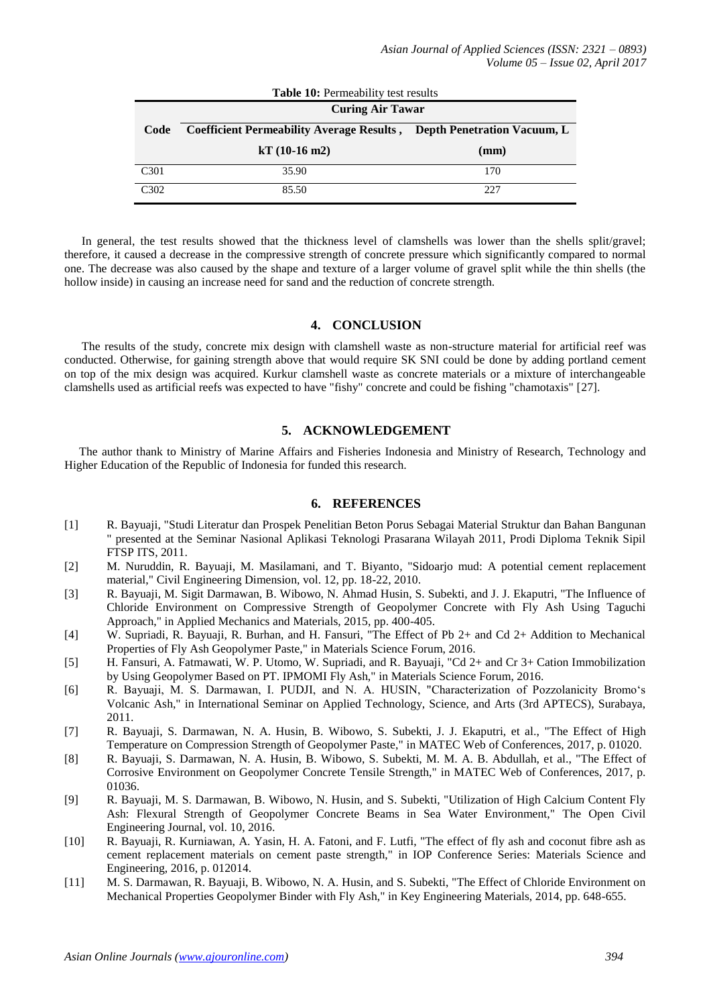| <b>Table 10:</b> Permeability test results |                                                                              |      |  |  |  |  |  |  |
|--------------------------------------------|------------------------------------------------------------------------------|------|--|--|--|--|--|--|
| <b>Curing Air Tawar</b>                    |                                                                              |      |  |  |  |  |  |  |
| Code                                       | <b>Coefficient Permeability Average Results, Depth Penetration Vacuum, L</b> |      |  |  |  |  |  |  |
|                                            | $kT(10-16 \text{ m2})$                                                       | (mm) |  |  |  |  |  |  |
| C <sub>301</sub>                           | 35.90                                                                        | 170  |  |  |  |  |  |  |
| C302                                       | 85.50                                                                        | 227  |  |  |  |  |  |  |

In general, the test results showed that the thickness level of clamshells was lower than the shells split/gravel; therefore, it caused a decrease in the compressive strength of concrete pressure which significantly compared to normal one. The decrease was also caused by the shape and texture of a larger volume of gravel split while the thin shells (the hollow inside) in causing an increase need for sand and the reduction of concrete strength.

#### **4. CONCLUSION**

The results of the study, concrete mix design with clamshell waste as non-structure material for artificial reef was conducted. Otherwise, for gaining strength above that would require SK SNI could be done by adding portland cement on top of the mix design was acquired. Kurkur clamshell waste as concrete materials or a mixture of interchangeable clamshells used as artificial reefs was expected to have "fishy" concrete and could be fishing "chamotaxis" [27].

# **5. ACKNOWLEDGEMENT**

The author thank to Ministry of Marine Affairs and Fisheries Indonesia and Ministry of Research, Technology and Higher Education of the Republic of Indonesia for funded this research.

# **6. REFERENCES**

- [1] R. Bayuaji, "Studi Literatur dan Prospek Penelitian Beton Porus Sebagai Material Struktur dan Bahan Bangunan " presented at the Seminar Nasional Aplikasi Teknologi Prasarana Wilayah 2011, Prodi Diploma Teknik Sipil FTSP ITS, 2011.
- [2] M. Nuruddin, R. Bayuaji, M. Masilamani, and T. Biyanto, "Sidoarjo mud: A potential cement replacement material," Civil Engineering Dimension, vol. 12, pp. 18-22, 2010.
- [3] R. Bayuaji, M. Sigit Darmawan, B. Wibowo, N. Ahmad Husin, S. Subekti, and J. J. Ekaputri, "The Influence of Chloride Environment on Compressive Strength of Geopolymer Concrete with Fly Ash Using Taguchi Approach," in Applied Mechanics and Materials, 2015, pp. 400-405.
- [4] W. Supriadi, R. Bayuaji, R. Burhan, and H. Fansuri, "The Effect of Pb 2+ and Cd 2+ Addition to Mechanical Properties of Fly Ash Geopolymer Paste," in Materials Science Forum, 2016.
- [5] H. Fansuri, A. Fatmawati, W. P. Utomo, W. Supriadi, and R. Bayuaji, "Cd 2+ and Cr 3+ Cation Immobilization by Using Geopolymer Based on PT. IPMOMI Fly Ash," in Materials Science Forum, 2016.
- [6] R. Bayuaji, M. S. Darmawan, I. PUDJI, and N. A. HUSIN, "Characterization of Pozzolanicity Bromo's Volcanic Ash," in International Seminar on Applied Technology, Science, and Arts (3rd APTECS), Surabaya, 2011.
- [7] R. Bayuaji, S. Darmawan, N. A. Husin, B. Wibowo, S. Subekti, J. J. Ekaputri, et al., "The Effect of High Temperature on Compression Strength of Geopolymer Paste," in MATEC Web of Conferences, 2017, p. 01020.
- [8] R. Bayuaji, S. Darmawan, N. A. Husin, B. Wibowo, S. Subekti, M. M. A. B. Abdullah, et al., "The Effect of Corrosive Environment on Geopolymer Concrete Tensile Strength," in MATEC Web of Conferences, 2017, p. 01036.
- [9] R. Bayuaji, M. S. Darmawan, B. Wibowo, N. Husin, and S. Subekti, "Utilization of High Calcium Content Fly Ash: Flexural Strength of Geopolymer Concrete Beams in Sea Water Environment," The Open Civil Engineering Journal, vol. 10, 2016.
- [10] R. Bayuaji, R. Kurniawan, A. Yasin, H. A. Fatoni, and F. Lutfi, "The effect of fly ash and coconut fibre ash as cement replacement materials on cement paste strength," in IOP Conference Series: Materials Science and Engineering, 2016, p. 012014.
- [11] M. S. Darmawan, R. Bayuaji, B. Wibowo, N. A. Husin, and S. Subekti, "The Effect of Chloride Environment on Mechanical Properties Geopolymer Binder with Fly Ash," in Key Engineering Materials, 2014, pp. 648-655.